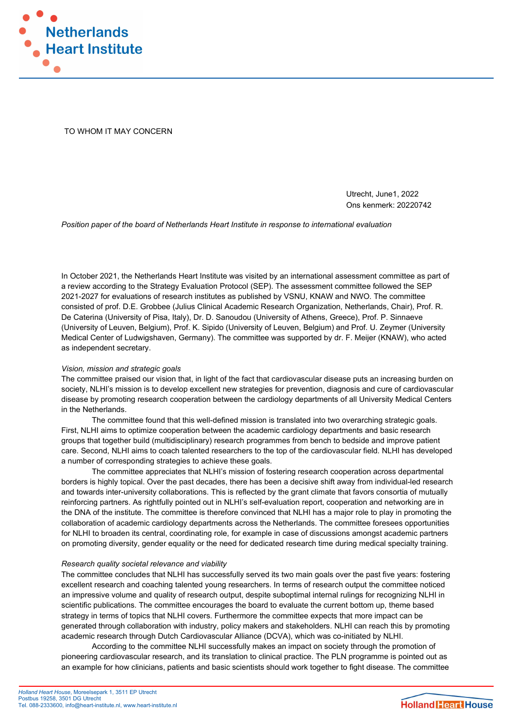

TO WHOM IT MAY CONCERN

Utrecht, June1, 2022 Ons kenmerk: 20220742

Position paper of the board of Netherlands Heart Institute in response to international evaluation

In October 2021, the Netherlands Heart Institute was visited by an international assessment committee as part of a review according to the Strategy Evaluation Protocol (SEP). The assessment committee followed the SEP 2021-2027 for evaluations of research institutes as published by VSNU, KNAW and NWO. The committee consisted of prof. D.E. Grobbee (Julius Clinical Academic Research Organization, Netherlands, Chair), Prof. R. De Caterina (University of Pisa, Italy), Dr. D. Sanoudou (University of Athens, Greece), Prof. P. Sinnaeve (University of Leuven, Belgium), Prof. K. Sipido (University of Leuven, Belgium) and Prof. U. Zeymer (University Medical Center of Ludwigshaven, Germany). The committee was supported by dr. F. Meijer (KNAW), who acted as independent secretary.

## Vision, mission and strategic goals

The committee praised our vision that, in light of the fact that cardiovascular disease puts an increasing burden on society, NLHI's mission is to develop excellent new strategies for prevention, diagnosis and cure of cardiovascular disease by promoting research cooperation between the cardiology departments of all University Medical Centers in the Netherlands.

The committee found that this well-defined mission is translated into two overarching strategic goals. First, NLHI aims to optimize cooperation between the academic cardiology departments and basic research groups that together build (multidisciplinary) research programmes from bench to bedside and improve patient care. Second, NLHI aims to coach talented researchers to the top of the cardiovascular field. NLHI has developed a number of corresponding strategies to achieve these goals.

The committee appreciates that NLHI's mission of fostering research cooperation across departmental borders is highly topical. Over the past decades, there has been a decisive shift away from individual-led research and towards inter-university collaborations. This is reflected by the grant climate that favors consortia of mutually reinforcing partners. As rightfully pointed out in NLHI's self-evaluation report, cooperation and networking are in the DNA of the institute. The committee is therefore convinced that NLHI has a major role to play in promoting the collaboration of academic cardiology departments across the Netherlands. The committee foresees opportunities for NLHI to broaden its central, coordinating role, for example in case of discussions amongst academic partners on promoting diversity, gender equality or the need for dedicated research time during medical specialty training.

## Research quality societal relevance and viability

The committee concludes that NLHI has successfully served its two main goals over the past five years: fostering excellent research and coaching talented young researchers. In terms of research output the committee noticed an impressive volume and quality of research output, despite suboptimal internal rulings for recognizing NLHI in scientific publications. The committee encourages the board to evaluate the current bottom up, theme based strategy in terms of topics that NLHI covers. Furthermore the committee expects that more impact can be generated through collaboration with industry, policy makers and stakeholders. NLHI can reach this by promoting academic research through Dutch Cardiovascular Alliance (DCVA), which was co-initiated by NLHI.

 According to the committee NLHI successfully makes an impact on society through the promotion of pioneering cardiovascular research, and its translation to clinical practice. The PLN programme is pointed out as an example for how clinicians, patients and basic scientists should work together to fight disease. The committee